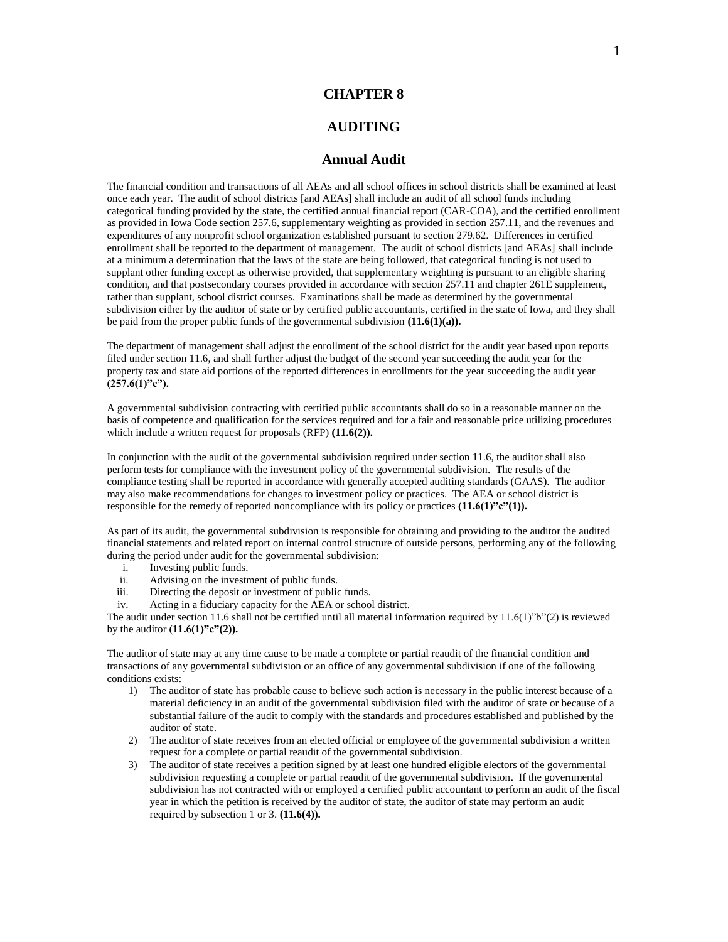## **CHAPTER 8**

## **AUDITING**

## **Annual Audit**

The financial condition and transactions of all AEAs and all school offices in school districts shall be examined at least once each year. The audit of school districts [and AEAs] shall include an audit of all school funds including categorical funding provided by the state, the certified annual financial report (CAR-COA), and the certified enrollment as provided in Iowa Code section 257.6, supplementary weighting as provided in section 257.11, and the revenues and expenditures of any nonprofit school organization established pursuant to section 279.62. Differences in certified enrollment shall be reported to the department of management. The audit of school districts [and AEAs] shall include at a minimum a determination that the laws of the state are being followed, that categorical funding is not used to supplant other funding except as otherwise provided, that supplementary weighting is pursuant to an eligible sharing condition, and that postsecondary courses provided in accordance with section 257.11 and chapter 261E supplement, rather than supplant, school district courses. Examinations shall be made as determined by the governmental subdivision either by the auditor of state or by certified public accountants, certified in the state of Iowa, and they shall be paid from the proper public funds of the governmental subdivision **(11.6(1)(a)).**

The department of management shall adjust the enrollment of the school district for the audit year based upon reports filed under section 11.6, and shall further adjust the budget of the second year succeeding the audit year for the property tax and state aid portions of the reported differences in enrollments for the year succeeding the audit year **(257.6(1)"c").**

A governmental subdivision contracting with certified public accountants shall do so in a reasonable manner on the basis of competence and qualification for the services required and for a fair and reasonable price utilizing procedures which include a written request for proposals (RFP) **(11.6(2)).**

In conjunction with the audit of the governmental subdivision required under section 11.6, the auditor shall also perform tests for compliance with the investment policy of the governmental subdivision. The results of the compliance testing shall be reported in accordance with generally accepted auditing standards (GAAS). The auditor may also make recommendations for changes to investment policy or practices. The AEA or school district is responsible for the remedy of reported noncompliance with its policy or practices **(11.6(1)"c"(1)).**

As part of its audit, the governmental subdivision is responsible for obtaining and providing to the auditor the audited financial statements and related report on internal control structure of outside persons, performing any of the following during the period under audit for the governmental subdivision:

- i. Investing public funds.
- ii. Advising on the investment of public funds.
- iii. Directing the deposit or investment of public funds.
- iv. Acting in a fiduciary capacity for the AEA or school district.

The audit under section 11.6 shall not be certified until all material information required by  $11.6(1)$ "b"(2) is reviewed by the auditor **(11.6(1)"c"(2)).**

The auditor of state may at any time cause to be made a complete or partial reaudit of the financial condition and transactions of any governmental subdivision or an office of any governmental subdivision if one of the following conditions exists:

- 1) The auditor of state has probable cause to believe such action is necessary in the public interest because of a material deficiency in an audit of the governmental subdivision filed with the auditor of state or because of a substantial failure of the audit to comply with the standards and procedures established and published by the auditor of state.
- 2) The auditor of state receives from an elected official or employee of the governmental subdivision a written request for a complete or partial reaudit of the governmental subdivision.
- 3) The auditor of state receives a petition signed by at least one hundred eligible electors of the governmental subdivision requesting a complete or partial reaudit of the governmental subdivision. If the governmental subdivision has not contracted with or employed a certified public accountant to perform an audit of the fiscal year in which the petition is received by the auditor of state, the auditor of state may perform an audit required by subsection 1 or 3. **(11.6(4)).**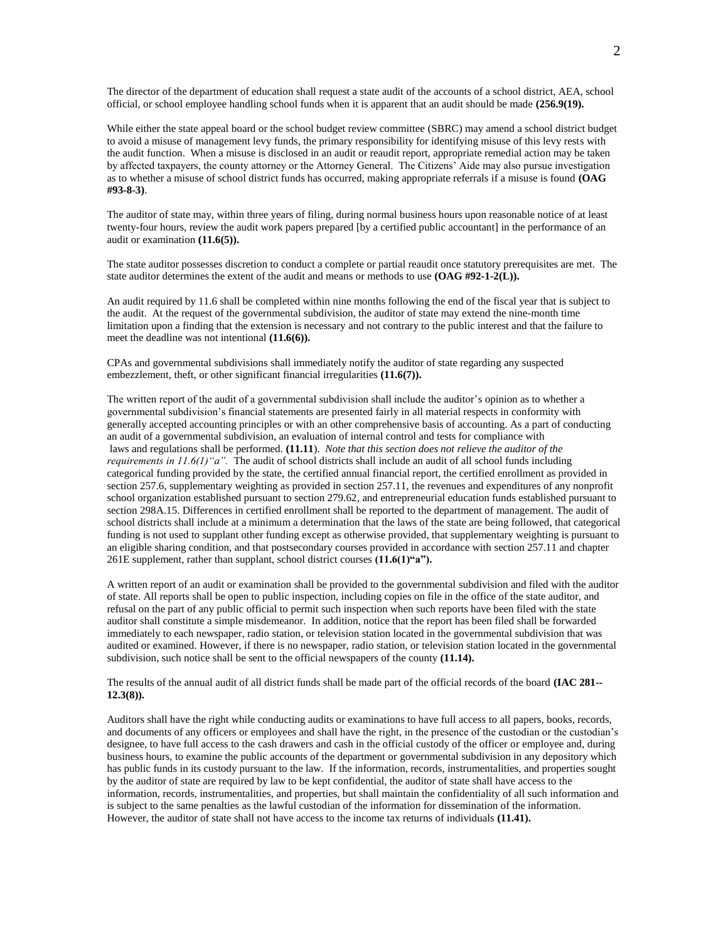The director of the department of education shall request a state audit of the accounts of a school district, AEA, school official, or school employee handling school funds when it is apparent that an audit should be made **(256.9(19).**

While either the state appeal board or the school budget review committee (SBRC) may amend a school district budget to avoid a misuse of management levy funds, the primary responsibility for identifying misuse of this levy rests with the audit function. When a misuse is disclosed in an audit or reaudit report, appropriate remedial action may be taken by affected taxpayers, the county attorney or the Attorney General. The Citizens' Aide may also pursue investigation as to whether a misuse of school district funds has occurred, making appropriate referrals if a misuse is found **(OAG #93-8-3)**.

The auditor of state may, within three years of filing, during normal business hours upon reasonable notice of at least twenty-four hours, review the audit work papers prepared [by a certified public accountant] in the performance of an audit or examination **(11.6(5)).**

The state auditor possesses discretion to conduct a complete or partial reaudit once statutory prerequisites are met. The state auditor determines the extent of the audit and means or methods to use **(OAG #92-1-2(L)).**

An audit required by 11.6 shall be completed within nine months following the end of the fiscal year that is subject to the audit. At the request of the governmental subdivision, the auditor of state may extend the nine-month time limitation upon a finding that the extension is necessary and not contrary to the public interest and that the failure to meet the deadline was not intentional **(11.6(6)).**

CPAs and governmental subdivisions shall immediately notify the auditor of state regarding any suspected embezzlement, theft, or other significant financial irregularities **(11.6(7)).**

The written report of the audit of a governmental subdivision shall include the auditor's opinion as to whether a governmental subdivision's financial statements are presented fairly in all material respects in conformity with generally accepted accounting principles or with an other comprehensive basis of accounting. As a part of conducting an audit of a governmental subdivision, an evaluation of internal control and tests for compliance with laws and regulations shall be performed. **(11.11**). *Note that this section does not relieve the auditor of the requirements in 11.6(1)"a".* The audit of school districts shall include an audit of all school funds including categorical funding provided by the state, the certified annual financial report, the certified enrollment as provided in section 257.6, supplementary weighting as provided in section 257.11, the revenues and expenditures of any nonprofit school organization established pursuant to section 279.62, and entrepreneurial education funds established pursuant to section 298A.15. Differences in certified enrollment shall be reported to the department of management. The audit of school districts shall include at a minimum a determination that the laws of the state are being followed, that categorical funding is not used to supplant other funding except as otherwise provided, that supplementary weighting is pursuant to an eligible sharing condition, and that postsecondary courses provided in accordance with section 257.11 and chapter 261E supplement, rather than supplant, school district courses **(11.6(1)"a").** 

A written report of an audit or examination shall be provided to the governmental subdivision and filed with the auditor of state. All reports shall be open to public inspection, including copies on file in the office of the state auditor, and refusal on the part of any public official to permit such inspection when such reports have been filed with the state auditor shall constitute a simple misdemeanor. In addition, notice that the report has been filed shall be forwarded immediately to each newspaper, radio station, or television station located in the governmental subdivision that was audited or examined. However, if there is no newspaper, radio station, or television station located in the governmental subdivision, such notice shall be sent to the official newspapers of the county **(11.14).**

The results of the annual audit of all district funds shall be made part of the official records of the board **(IAC 281-- 12.3(8)).**

Auditors shall have the right while conducting audits or examinations to have full access to all papers, books, records, and documents of any officers or employees and shall have the right, in the presence of the custodian or the custodian's designee, to have full access to the cash drawers and cash in the official custody of the officer or employee and, during business hours, to examine the public accounts of the department or governmental subdivision in any depository which has public funds in its custody pursuant to the law. If the information, records, instrumentalities, and properties sought by the auditor of state are required by law to be kept confidential, the auditor of state shall have access to the information, records, instrumentalities, and properties, but shall maintain the confidentiality of all such information and is subject to the same penalties as the lawful custodian of the information for dissemination of the information. However, the auditor of state shall not have access to the income tax returns of individuals **(11.41).**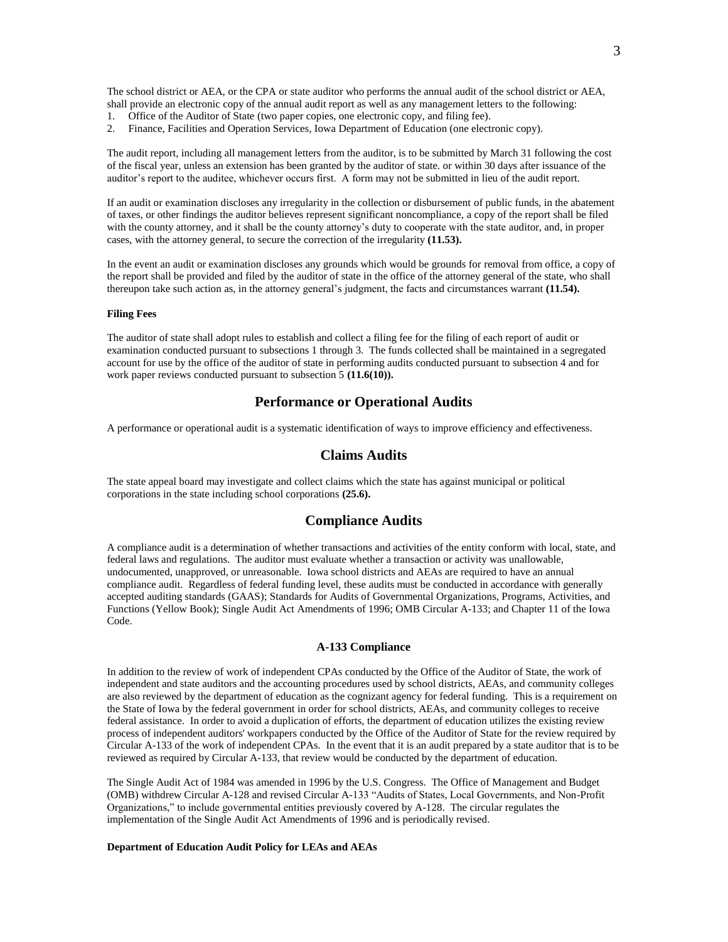The school district or AEA, or the CPA or state auditor who performs the annual audit of the school district or AEA, shall provide an electronic copy of the annual audit report as well as any management letters to the following:

- 1. Office of the Auditor of State (two paper copies, one electronic copy, and filing fee).
- 2. Finance, Facilities and Operation Services, Iowa Department of Education (one electronic copy).

The audit report, including all management letters from the auditor, is to be submitted by March 31 following the cost of the fiscal year, unless an extension has been granted by the auditor of state. or within 30 days after issuance of the auditor's report to the auditee, whichever occurs first. A form may not be submitted in lieu of the audit report.

If an audit or examination discloses any irregularity in the collection or disbursement of public funds, in the abatement of taxes, or other findings the auditor believes represent significant noncompliance, a copy of the report shall be filed with the county attorney, and it shall be the county attorney's duty to cooperate with the state auditor, and, in proper cases, with the attorney general, to secure the correction of the irregularity **(11.53).**

In the event an audit or examination discloses any grounds which would be grounds for removal from office, a copy of the report shall be provided and filed by the auditor of state in the office of the attorney general of the state, who shall thereupon take such action as, in the attorney general's judgment, the facts and circumstances warrant **(11.54).**

### **Filing Fees**

The auditor of state shall adopt rules to establish and collect a filing fee for the filing of each report of audit or examination conducted pursuant to subsections 1 through 3. The funds collected shall be maintained in a segregated account for use by the office of the auditor of state in performing audits conducted pursuant to subsection 4 and for work paper reviews conducted pursuant to subsection 5 **(11.6(10)).**

## **Performance or Operational Audits**

A performance or operational audit is a systematic identification of ways to improve efficiency and effectiveness.

### **Claims Audits**

The state appeal board may investigate and collect claims which the state has against municipal or political corporations in the state including school corporations **(25.6).**

### **Compliance Audits**

A compliance audit is a determination of whether transactions and activities of the entity conform with local, state, and federal laws and regulations. The auditor must evaluate whether a transaction or activity was unallowable, undocumented, unapproved, or unreasonable. Iowa school districts and AEAs are required to have an annual compliance audit. Regardless of federal funding level, these audits must be conducted in accordance with generally accepted auditing standards (GAAS); Standards for Audits of Governmental Organizations, Programs, Activities, and Functions (Yellow Book); Single Audit Act Amendments of 1996; OMB Circular A-133; and Chapter 11 of the Iowa Code.

### **A-133 Compliance**

In addition to the review of work of independent CPAs conducted by the Office of the Auditor of State, the work of independent and state auditors and the accounting procedures used by school districts, AEAs, and community colleges are also reviewed by the department of education as the cognizant agency for federal funding. This is a requirement on the State of Iowa by the federal government in order for school districts, AEAs, and community colleges to receive federal assistance. In order to avoid a duplication of efforts, the department of education utilizes the existing review process of independent auditors' workpapers conducted by the Office of the Auditor of State for the review required by Circular A-133 of the work of independent CPAs. In the event that it is an audit prepared by a state auditor that is to be reviewed as required by Circular A-133, that review would be conducted by the department of education.

The Single Audit Act of 1984 was amended in 1996 by the U.S. Congress. The Office of Management and Budget (OMB) withdrew Circular A-128 and revised Circular A-133 "Audits of States, Local Governments, and Non-Profit Organizations," to include governmental entities previously covered by A-128. The circular regulates the implementation of the Single Audit Act Amendments of 1996 and is periodically revised.

#### **Department of Education Audit Policy for LEAs and AEAs**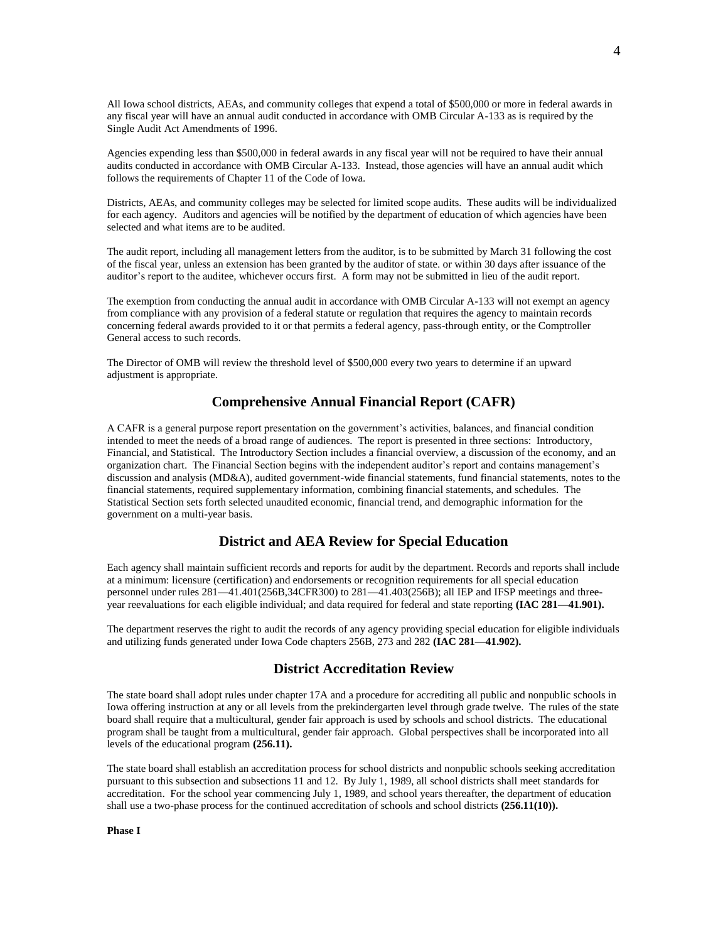All Iowa school districts, AEAs, and community colleges that expend a total of \$500,000 or more in federal awards in any fiscal year will have an annual audit conducted in accordance with OMB Circular A-133 as is required by the Single Audit Act Amendments of 1996.

Agencies expending less than \$500,000 in federal awards in any fiscal year will not be required to have their annual audits conducted in accordance with OMB Circular A-133. Instead, those agencies will have an annual audit which follows the requirements of Chapter 11 of the Code of Iowa.

Districts, AEAs, and community colleges may be selected for limited scope audits. These audits will be individualized for each agency. Auditors and agencies will be notified by the department of education of which agencies have been selected and what items are to be audited.

The audit report, including all management letters from the auditor, is to be submitted by March 31 following the cost of the fiscal year, unless an extension has been granted by the auditor of state. or within 30 days after issuance of the auditor's report to the auditee, whichever occurs first. A form may not be submitted in lieu of the audit report.

The exemption from conducting the annual audit in accordance with OMB Circular A-133 will not exempt an agency from compliance with any provision of a federal statute or regulation that requires the agency to maintain records concerning federal awards provided to it or that permits a federal agency, pass-through entity, or the Comptroller General access to such records.

The Director of OMB will review the threshold level of \$500,000 every two years to determine if an upward adjustment is appropriate.

# **Comprehensive Annual Financial Report (CAFR)**

A CAFR is a general purpose report presentation on the government's activities, balances, and financial condition intended to meet the needs of a broad range of audiences. The report is presented in three sections: Introductory, Financial, and Statistical. The Introductory Section includes a financial overview, a discussion of the economy, and an organization chart. The Financial Section begins with the independent auditor's report and contains management's discussion and analysis (MD&A), audited government-wide financial statements, fund financial statements, notes to the financial statements, required supplementary information, combining financial statements, and schedules. The Statistical Section sets forth selected unaudited economic, financial trend, and demographic information for the government on a multi-year basis.

# **District and AEA Review for Special Education**

Each agency shall maintain sufficient records and reports for audit by the department. Records and reports shall include at a minimum: licensure (certification) and endorsements or recognition requirements for all special education personnel under rules 281—41.401(256B,34CFR300) to 281—41.403(256B); all IEP and IFSP meetings and threeyear reevaluations for each eligible individual; and data required for federal and state reporting **(IAC 281—41.901).**

The department reserves the right to audit the records of any agency providing special education for eligible individuals and utilizing funds generated under Iowa Code chapters 256B, 273 and 282 **(IAC 281—41.902).**

## **District Accreditation Review**

The state board shall adopt rules under chapter 17A and a procedure for accrediting all public and nonpublic schools in Iowa offering instruction at any or all levels from the prekindergarten level through grade twelve. The rules of the state board shall require that a multicultural, gender fair approach is used by schools and school districts. The educational program shall be taught from a multicultural, gender fair approach. Global perspectives shall be incorporated into all levels of the educational program **(256.11).**

The state board shall establish an accreditation process for school districts and nonpublic schools seeking accreditation pursuant to this subsection and subsections 11 and 12. By July 1, 1989, all school districts shall meet standards for accreditation. For the school year commencing July 1, 1989, and school years thereafter, the department of education shall use a two-phase process for the continued accreditation of schools and school districts  $(256.11(10))$ .

**Phase I**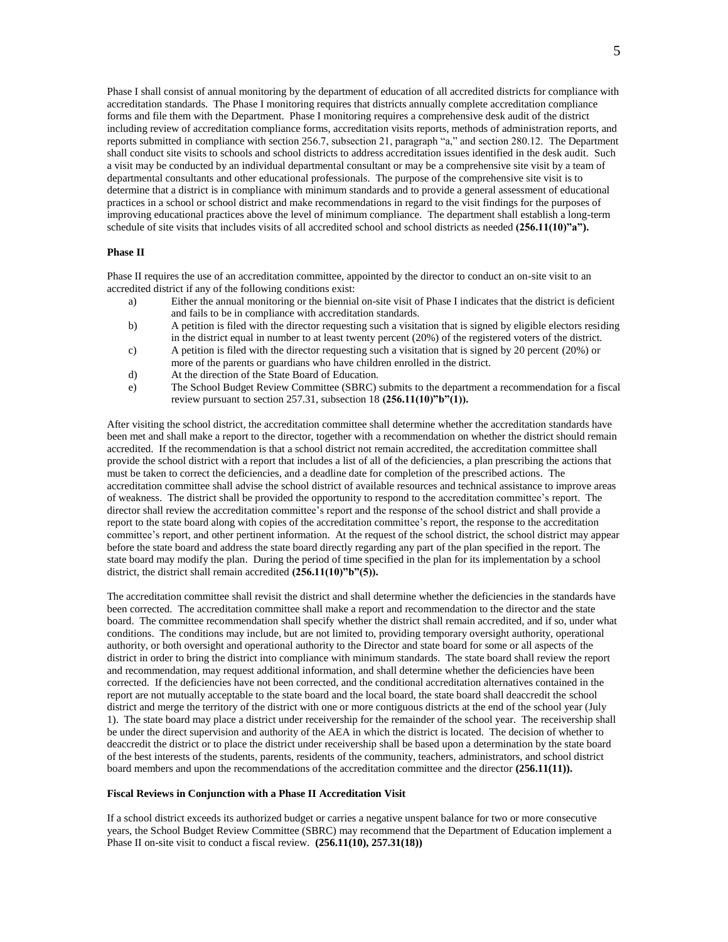Phase I shall consist of annual monitoring by the department of education of all accredited districts for compliance with accreditation standards. The Phase I monitoring requires that districts annually complete accreditation compliance forms and file them with the Department. Phase I monitoring requires a comprehensive desk audit of the district including review of accreditation compliance forms, accreditation visits reports, methods of administration reports, and reports submitted in compliance with section 256.7, subsection 21, paragraph "a," and section 280.12. The Department shall conduct site visits to schools and school districts to address accreditation issues identified in the desk audit. Such a visit may be conducted by an individual departmental consultant or may be a comprehensive site visit by a team of departmental consultants and other educational professionals. The purpose of the comprehensive site visit is to determine that a district is in compliance with minimum standards and to provide a general assessment of educational practices in a school or school district and make recommendations in regard to the visit findings for the purposes of improving educational practices above the level of minimum compliance. The department shall establish a long-term schedule of site visits that includes visits of all accredited school and school districts as needed  $(256.11(10)<sup>9</sup>a<sup>7</sup>)$ .

#### **Phase II**

Phase II requires the use of an accreditation committee, appointed by the director to conduct an on-site visit to an accredited district if any of the following conditions exist:

- a) Either the annual monitoring or the biennial on-site visit of Phase I indicates that the district is deficient and fails to be in compliance with accreditation standards.
- b) A petition is filed with the director requesting such a visitation that is signed by eligible electors residing in the district equal in number to at least twenty percent (20%) of the registered voters of the district.
- c) A petition is filed with the director requesting such a visitation that is signed by 20 percent (20%) or more of the parents or guardians who have children enrolled in the district.
- d) At the direction of the State Board of Education.
- e) The School Budget Review Committee (SBRC) submits to the department a recommendation for a fiscal review pursuant to section 257.31, subsection 18 **(256.11(10)"b"(1)).**

After visiting the school district, the accreditation committee shall determine whether the accreditation standards have been met and shall make a report to the director, together with a recommendation on whether the district should remain accredited. If the recommendation is that a school district not remain accredited, the accreditation committee shall provide the school district with a report that includes a list of all of the deficiencies, a plan prescribing the actions that must be taken to correct the deficiencies, and a deadline date for completion of the prescribed actions. The accreditation committee shall advise the school district of available resources and technical assistance to improve areas of weakness. The district shall be provided the opportunity to respond to the accreditation committee's report. The director shall review the accreditation committee's report and the response of the school district and shall provide a report to the state board along with copies of the accreditation committee's report, the response to the accreditation committee's report, and other pertinent information. At the request of the school district, the school district may appear before the state board and address the state board directly regarding any part of the plan specified in the report. The state board may modify the plan. During the period of time specified in the plan for its implementation by a school district, the district shall remain accredited **(256.11(10)"b"(5)).**

The accreditation committee shall revisit the district and shall determine whether the deficiencies in the standards have been corrected. The accreditation committee shall make a report and recommendation to the director and the state board. The committee recommendation shall specify whether the district shall remain accredited, and if so, under what conditions. The conditions may include, but are not limited to, providing temporary oversight authority, operational authority, or both oversight and operational authority to the Director and state board for some or all aspects of the district in order to bring the district into compliance with minimum standards. The state board shall review the report and recommendation, may request additional information, and shall determine whether the deficiencies have been corrected. If the deficiencies have not been corrected, and the conditional accreditation alternatives contained in the report are not mutually acceptable to the state board and the local board, the state board shall deaccredit the school district and merge the territory of the district with one or more contiguous districts at the end of the school year (July 1). The state board may place a district under receivership for the remainder of the school year. The receivership shall be under the direct supervision and authority of the AEA in which the district is located. The decision of whether to deaccredit the district or to place the district under receivership shall be based upon a determination by the state board of the best interests of the students, parents, residents of the community, teachers, administrators, and school district board members and upon the recommendations of the accreditation committee and the director **(256.11(11)).**

#### **Fiscal Reviews in Conjunction with a Phase II Accreditation Visit**

If a school district exceeds its authorized budget or carries a negative unspent balance for two or more consecutive years, the School Budget Review Committee (SBRC) may recommend that the Department of Education implement a Phase II on-site visit to conduct a fiscal review.  $(256.11(10), 257.31(18))$